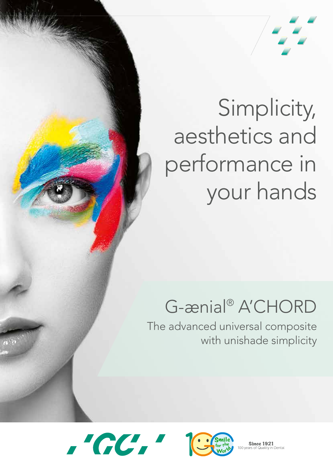

# Simplicity, aesthetics and performance in your hands

# G-ænial<sup>®</sup> A'CHORD

The advanced universal composite with unishade simplicity





**Since 1921** Dental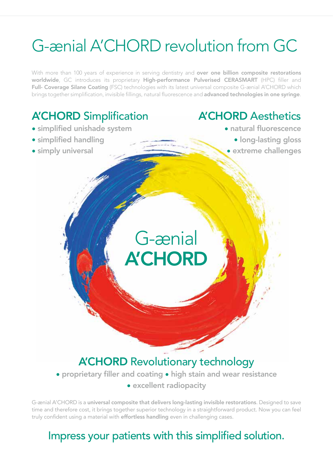# G-ænial A'CHORD revolution from GC

With more than 100 years of experience in serving dentistry and over one billion composite restorations worldwide, GC introduces its proprietary High-performance Pulverised CERASMART (HPC) filler and Full- Coverage Silane Coating (FSC) technologies with its latest universal composite G-ænial A'CHORD which brings together simplification, invisible fillings, natural fluorescence and advanced technologies in one syringe.

# A'CHORD Simplification

- simplified unishade system
- simplified handling
- simply universal

## A'CHORD Aesthetics

- natural fluorescence
	- long-lasting gloss
	- extreme challenges

# A'CHORD Revolutionary technology

G-ænial

**A'CHORD** 

• proprietary filler and coating • high stain and wear resistance

• excellent radiopacity

G-ænial A'CHORD is a universal composite that delivers long-lasting invisible restorations. Designed to save time and therefore cost, it brings together superior technology in a straightforward product. Now you can feel truly confident using a material with effortless handling even in challenging cases.

## Impress your patients with this simplified solution.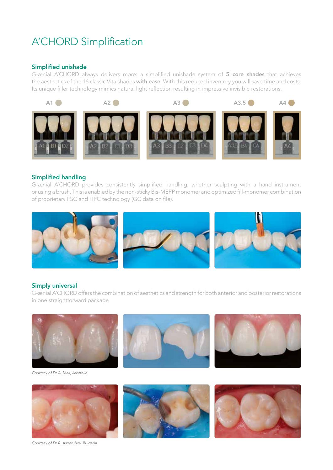## A'CHORD Simplification

#### Simplified unishade

G-ænial A'CHORD always delivers more: a simplified unishade system of 5 core shades that achieves the aesthetics of the 16 classic Vita shades with ease. With this reduced inventory you will save time and costs. Its unique filler technology mimics natural light reflection resulting in impressive invisible restorations.



#### Simplified handling

G-ænial A'CHORD provides consistently simplified handling, whether sculpting with a hand instrument or using a brush. This is enabled by the non-sticky Bis-MEPP monomer and optimized fill-monomer combination of proprietary FSC and HPC technology (GC data on file).



#### Simply universal

G-ænial A'CHORD offers the combination of aesthetics and strength for both anterior and posterior restorations in one straightforward package





*Courtesy of Dr R. Asparuhov, Bulgaria*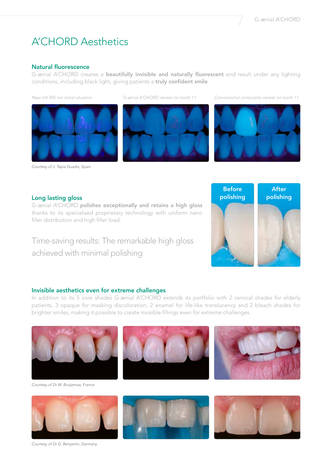## A'CHORD Aesthetics

#### Natural fluorescence

G-ænial A'CHORD creates a beautifully invisible and naturally fluorescent end result under any lighting conditions, including black light, giving patients a truly confident smile.



*Courtesy of J. Tapia Guadix, Spain*



*Near-UV 405 nm initial situation G-ænial A'CHORD veneer on tooth 11 Conventional composite veneer on tooth 11*



#### Long lasting gloss

G-ænial A'CHORD polishes exceptionally and retains a high gloss thanks to its specialised proprietary technology with uniform nano filler distribution and high filler load.

Time-saving results: The remarkable high gloss achieved with minimal polishing



#### Invisible aesthetics even for extreme challenges

In addition to its 5 core shades G-ænial A'CHORD extends its portfolio with 2 cervical shades for elderly patients, 3 opaque for masking discoloration, 2 enamel for life-like translucency and 2 bleach shades for brighter smiles, making it possible to create invisible fillings even for extreme challenges.





*Courtesy of Dr G. Benjamin, Germany*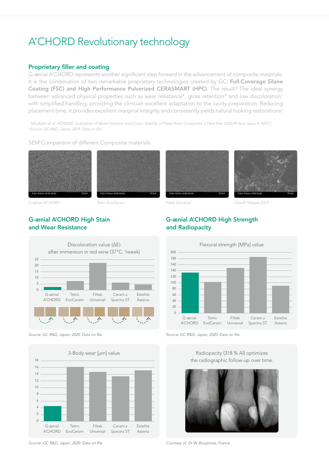## A'CHORD Revolutionary technology

#### Proprietary filler and coating

G-ænial A'CHORD represents another significant step forward in the advancement of composite materials. It is the combination of two remarkable proprietary technologies created by GC; Full-Coverage Silane Coating (FSC) and High Performance Pulverized CERASMART (HPC). The result? The ideal synergy between advanced physical properties such as wear resistance\*, gloss retention\* and low discoloration<sup>1</sup> with simplified handling, providing the clinician excellent adaptation to the cavity preparation. Reducing placement time, it provides excellent marginal integrity and consistently yields natural looking restorations!

*1. Mizukami et al. IADR2020. Evaluation of Water Sorption and Colour Stability of Paste-Resin Composite. J Dent Res. 2020;99 Spec Issue A: #2471.* \*Source: GC R&D, Japan, 2019. Data on file.

SEM Comparison of different Composite materials.





#### G-ænial A'CHORD High Stain and Wear Resistance



Source: GC R&D, Japan, 2020. Data on file.



Source: GC R&D, Japan, 2020. Data on file.





*G-ænial A'CHORD Tetric EvoCeram Filtek Universal* Clearfil *Majesty ES-II*

#### G-ænial A'CHORD High Strength and Radiopacity



Source: GC R&D, Japan, 2020. Data on file.

Radiopacity (318 % Al) optimizes the radiographic follow-up over time.



*Courtesy of Dr W. Boujemaa, France*